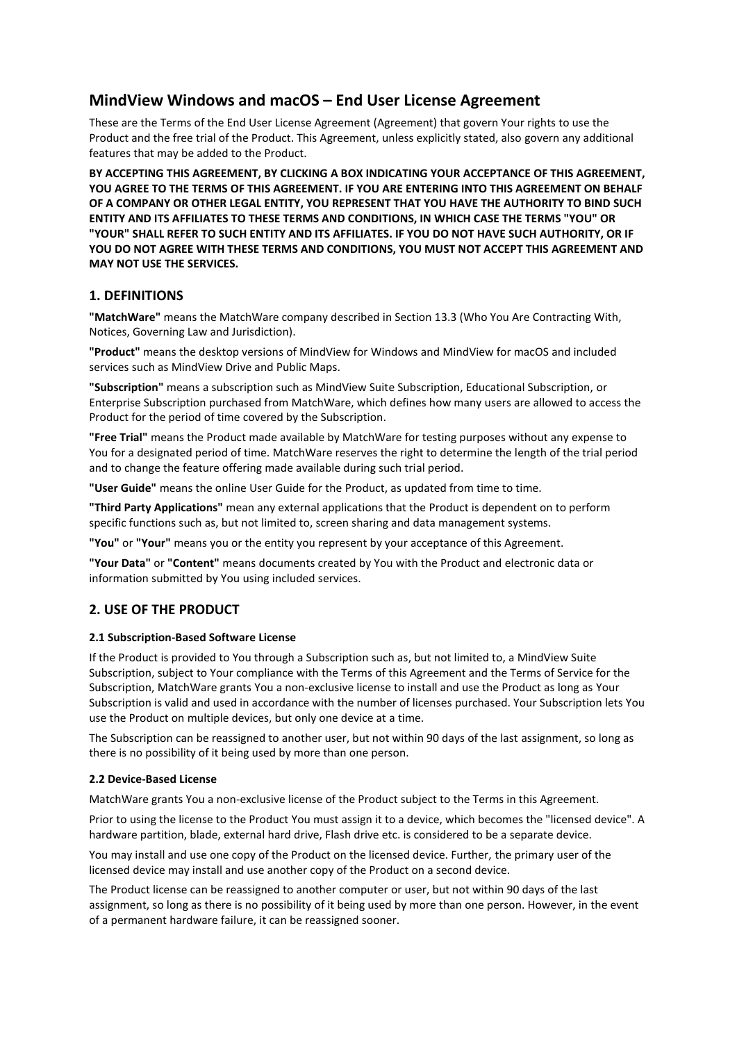# **MindView Windows and macOS – End User License Agreement**

These are the Terms of the End User License Agreement (Agreement) that govern Your rights to use the Product and the free trial of the Product. This Agreement, unless explicitly stated, also govern any additional features that may be added to the Product.

**BY ACCEPTING THIS AGREEMENT, BY CLICKING A BOX INDICATING YOUR ACCEPTANCE OF THIS AGREEMENT, YOU AGREE TO THE TERMS OF THIS AGREEMENT. IF YOU ARE ENTERING INTO THIS AGREEMENT ON BEHALF OF A COMPANY OR OTHER LEGAL ENTITY, YOU REPRESENT THAT YOU HAVE THE AUTHORITY TO BIND SUCH ENTITY AND ITS AFFILIATES TO THESE TERMS AND CONDITIONS, IN WHICH CASE THE TERMS "YOU" OR "YOUR" SHALL REFER TO SUCH ENTITY AND ITS AFFILIATES. IF YOU DO NOT HAVE SUCH AUTHORITY, OR IF YOU DO NOT AGREE WITH THESE TERMS AND CONDITIONS, YOU MUST NOT ACCEPT THIS AGREEMENT AND MAY NOT USE THE SERVICES.**

## **1. DEFINITIONS**

**"MatchWare"** means the MatchWare company described in Section 13.3 (Who You Are Contracting With, Notices, Governing Law and Jurisdiction).

**"Product"** means the desktop versions of MindView for Windows and MindView for macOS and included services such as MindView Drive and Public Maps.

**"Subscription"** means a subscription such as MindView Suite Subscription, Educational Subscription, or Enterprise Subscription purchased from MatchWare, which defines how many users are allowed to access the Product for the period of time covered by the Subscription.

**"Free Trial"** means the Product made available by MatchWare for testing purposes without any expense to You for a designated period of time. MatchWare reserves the right to determine the length of the trial period and to change the feature offering made available during such trial period.

**"User Guide"** means the online User Guide for the Product, as updated from time to time.

**"Third Party Applications"** mean any external applications that the Product is dependent on to perform specific functions such as, but not limited to, screen sharing and data management systems.

**"You"** or **"Your"** means you or the entity you represent by your acceptance of this Agreement.

**"Your Data"** or **"Content"** means documents created by You with the Product and electronic data or information submitted by You using included services.

### **2. USE OF THE PRODUCT**

#### **2.1 Subscription-Based Software License**

If the Product is provided to You through a Subscription such as, but not limited to, a MindView Suite Subscription, subject to Your compliance with the Terms of this Agreement and the Terms of Service for the Subscription, MatchWare grants You a non-exclusive license to install and use the Product as long as Your Subscription is valid and used in accordance with the number of licenses purchased. Your Subscription lets You use the Product on multiple devices, but only one device at a time.

The Subscription can be reassigned to another user, but not within 90 days of the last assignment, so long as there is no possibility of it being used by more than one person.

#### **2.2 Device-Based License**

MatchWare grants You a non-exclusive license of the Product subject to the Terms in this Agreement.

Prior to using the license to the Product You must assign it to a device, which becomes the "licensed device". A hardware partition, blade, external hard drive, Flash drive etc. is considered to be a separate device.

You may install and use one copy of the Product on the licensed device. Further, the primary user of the licensed device may install and use another copy of the Product on a second device.

The Product license can be reassigned to another computer or user, but not within 90 days of the last assignment, so long as there is no possibility of it being used by more than one person. However, in the event of a permanent hardware failure, it can be reassigned sooner.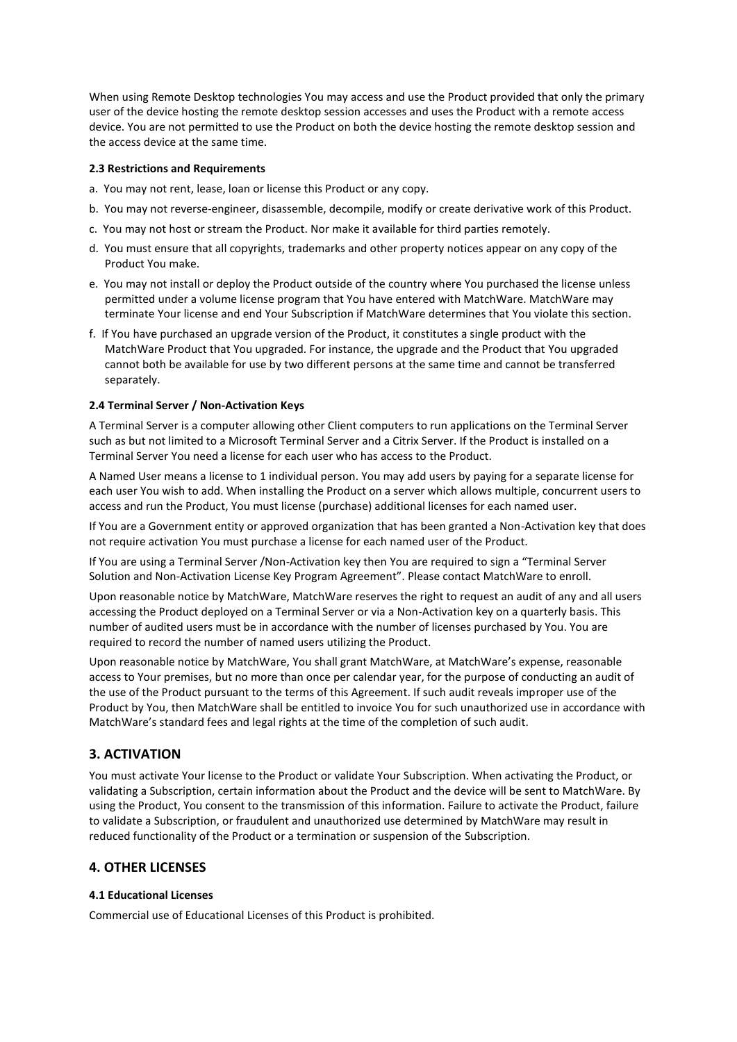When using Remote Desktop technologies You may access and use the Product provided that only the primary user of the device hosting the remote desktop session accesses and uses the Product with a remote access device. You are not permitted to use the Product on both the device hosting the remote desktop session and the access device at the same time.

#### **2.3 Restrictions and Requirements**

- a. You may not rent, lease, loan or license this Product or any copy.
- b. You may not reverse-engineer, disassemble, decompile, modify or create derivative work of this Product.
- c. You may not host or stream the Product. Nor make it available for third parties remotely.
- d. You must ensure that all copyrights, trademarks and other property notices appear on any copy of the Product You make.
- e. You may not install or deploy the Product outside of the country where You purchased the license unless permitted under a volume license program that You have entered with MatchWare. MatchWare may terminate Your license and end Your Subscription if MatchWare determines that You violate this section.
- f. If You have purchased an upgrade version of the Product, it constitutes a single product with the MatchWare Product that You upgraded. For instance, the upgrade and the Product that You upgraded cannot both be available for use by two different persons at the same time and cannot be transferred separately.

#### **2.4 Terminal Server / Non-Activation Keys**

A Terminal Server is a computer allowing other Client computers to run applications on the Terminal Server such as but not limited to a Microsoft Terminal Server and a Citrix Server. If the Product is installed on a Terminal Server You need a license for each user who has access to the Product.

A Named User means a license to 1 individual person. You may add users by paying for a separate license for each user You wish to add. When installing the Product on a server which allows multiple, concurrent users to access and run the Product, You must license (purchase) additional licenses for each named user.

If You are a Government entity or approved organization that has been granted a Non-Activation key that does not require activation You must purchase a license for each named user of the Product.

If You are using a Terminal Server /Non-Activation key then You are required to sign a "Terminal Server Solution and Non-Activation License Key Program Agreement". Please contact MatchWare to enroll.

Upon reasonable notice by MatchWare, MatchWare reserves the right to request an audit of any and all users accessing the Product deployed on a Terminal Server or via a Non-Activation key on a quarterly basis. This number of audited users must be in accordance with the number of licenses purchased by You. You are required to record the number of named users utilizing the Product.

Upon reasonable notice by MatchWare, You shall grant MatchWare, at MatchWare's expense, reasonable access to Your premises, but no more than once per calendar year, for the purpose of conducting an audit of the use of the Product pursuant to the terms of this Agreement. If such audit reveals improper use of the Product by You, then MatchWare shall be entitled to invoice You for such unauthorized use in accordance with MatchWare's standard fees and legal rights at the time of the completion of such audit.

### **3. ACTIVATION**

You must activate Your license to the Product or validate Your Subscription. When activating the Product, or validating a Subscription, certain information about the Product and the device will be sent to MatchWare. By using the Product, You consent to the transmission of this information. Failure to activate the Product, failure to validate a Subscription, or fraudulent and unauthorized use determined by MatchWare may result in reduced functionality of the Product or a termination or suspension of the Subscription.

### **4. OTHER LICENSES**

#### **4.1 Educational Licenses**

Commercial use of Educational Licenses of this Product is prohibited.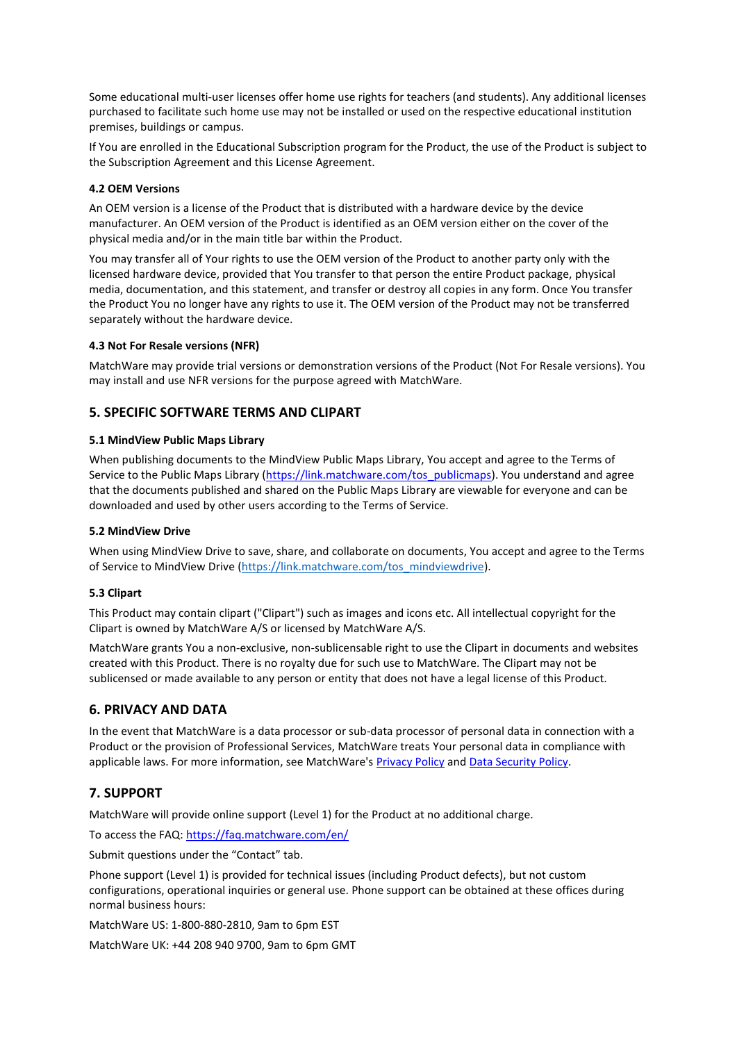Some educational multi-user licenses offer home use rights for teachers (and students). Any additional licenses purchased to facilitate such home use may not be installed or used on the respective educational institution premises, buildings or campus.

If You are enrolled in the Educational Subscription program for the Product, the use of the Product is subject to the Subscription Agreement and this License Agreement.

### **4.2 OEM Versions**

An OEM version is a license of the Product that is distributed with a hardware device by the device manufacturer. An OEM version of the Product is identified as an OEM version either on the cover of the physical media and/or in the main title bar within the Product.

You may transfer all of Your rights to use the OEM version of the Product to another party only with the licensed hardware device, provided that You transfer to that person the entire Product package, physical media, documentation, and this statement, and transfer or destroy all copies in any form. Once You transfer the Product You no longer have any rights to use it. The OEM version of the Product may not be transferred separately without the hardware device.

### **4.3 Not For Resale versions (NFR)**

MatchWare may provide trial versions or demonstration versions of the Product (Not For Resale versions). You may install and use NFR versions for the purpose agreed with MatchWare.

### **5. SPECIFIC SOFTWARE TERMS AND CLIPART**

#### **5.1 MindView Public Maps Library**

When publishing documents to the MindView Public Maps Library, You accept and agree to the Terms of Service to the Public Maps Library [\(https://link.matchware.com/tos\\_publicmaps\)](https://link.matchware.com/tos_publicmaps). You understand and agree that the documents published and shared on the Public Maps Library are viewable for everyone and can be downloaded and used by other users according to the Terms of Service.

#### **5.2 MindView Drive**

When using MindView Drive to save, share, and collaborate on documents, You accept and agree to the Terms of Service to MindView Drive [\(https://link.matchware.com/tos\\_mindviewdrive\)](https://link.matchware.com/tos_mindviewdrive).

#### **5.3 Clipart**

This Product may contain clipart ("Clipart") such as images and icons etc. All intellectual copyright for the Clipart is owned by MatchWare A/S or licensed by MatchWare A/S.

MatchWare grants You a non-exclusive, non-sublicensable right to use the Clipart in documents and websites created with this Product. There is no royalty due for such use to MatchWare. The Clipart may not be sublicensed or made available to any person or entity that does not have a legal license of this Product.

### **6. PRIVACY AND DATA**

In the event that MatchWare is a data processor or sub-data processor of personal data in connection with a Product or the provision of Professional Services, MatchWare treats Your personal data in compliance with applicable laws. For more information, see MatchWare's [Privacy Policy](https://link.matchware.com/privacy_policy) and [Data Security Policy.](https://link.matchware.com/data_security_policy)

## **7. SUPPORT**

MatchWare will provide online support (Level 1) for the Product at no additional charge.

To access the FAQ: <https://faq.matchware.com/en/>

Submit questions under the "Contact" tab.

Phone support (Level 1) is provided for technical issues (including Product defects), but not custom configurations, operational inquiries or general use. Phone support can be obtained at these offices during normal business hours:

MatchWare US: 1-800-880-2810, 9am to 6pm EST

MatchWare UK: +44 208 940 9700, 9am to 6pm GMT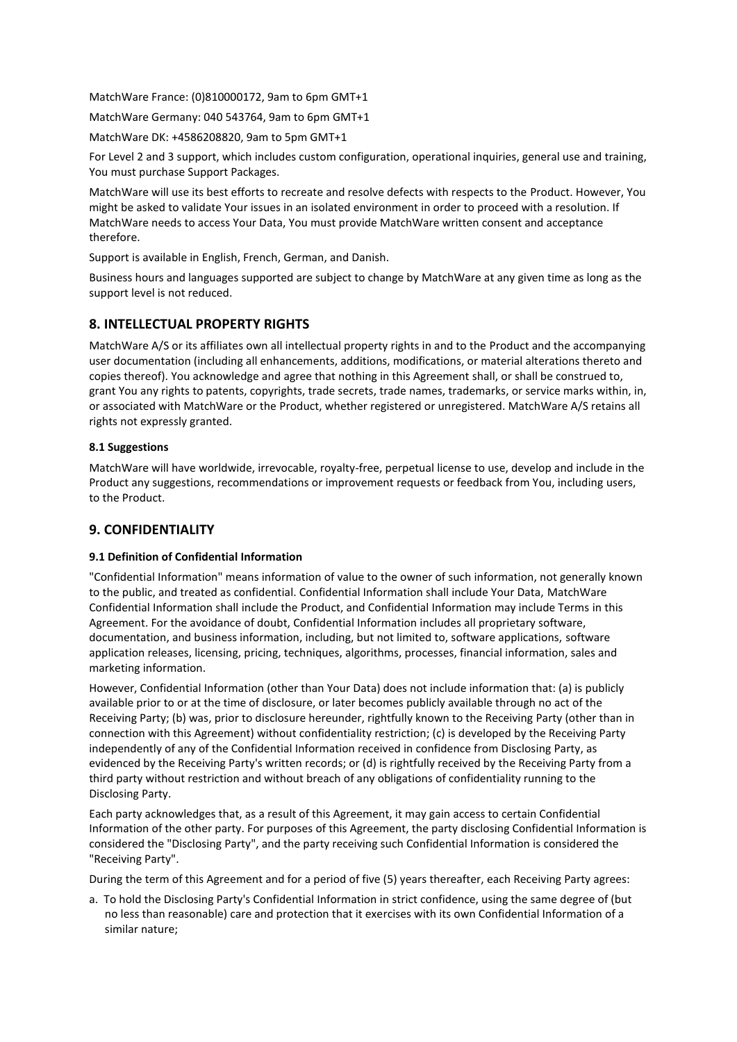MatchWare France: (0)810000172, 9am to 6pm GMT+1

MatchWare Germany: 040 543764, 9am to 6pm GMT+1

MatchWare DK: +4586208820, 9am to 5pm GMT+1

For Level 2 and 3 support, which includes custom configuration, operational inquiries, general use and training, You must purchase Support Packages.

MatchWare will use its best efforts to recreate and resolve defects with respects to the Product. However, You might be asked to validate Your issues in an isolated environment in order to proceed with a resolution. If MatchWare needs to access Your Data, You must provide MatchWare written consent and acceptance therefore.

Support is available in English, French, German, and Danish.

Business hours and languages supported are subject to change by MatchWare at any given time as long as the support level is not reduced.

## **8. INTELLECTUAL PROPERTY RIGHTS**

MatchWare A/S or its affiliates own all intellectual property rights in and to the Product and the accompanying user documentation (including all enhancements, additions, modifications, or material alterations thereto and copies thereof). You acknowledge and agree that nothing in this Agreement shall, or shall be construed to, grant You any rights to patents, copyrights, trade secrets, trade names, trademarks, or service marks within, in, or associated with MatchWare or the Product, whether registered or unregistered. MatchWare A/S retains all rights not expressly granted.

### **8.1 Suggestions**

MatchWare will have worldwide, irrevocable, royalty-free, perpetual license to use, develop and include in the Product any suggestions, recommendations or improvement requests or feedback from You, including users, to the Product.

## **9. CONFIDENTIALITY**

### **9.1 Definition of Confidential Information**

"Confidential Information" means information of value to the owner of such information, not generally known to the public, and treated as confidential. Confidential Information shall include Your Data, MatchWare Confidential Information shall include the Product, and Confidential Information may include Terms in this Agreement. For the avoidance of doubt, Confidential Information includes all proprietary software, documentation, and business information, including, but not limited to, software applications, software application releases, licensing, pricing, techniques, algorithms, processes, financial information, sales and marketing information.

However, Confidential Information (other than Your Data) does not include information that: (a) is publicly available prior to or at the time of disclosure, or later becomes publicly available through no act of the Receiving Party; (b) was, prior to disclosure hereunder, rightfully known to the Receiving Party (other than in connection with this Agreement) without confidentiality restriction; (c) is developed by the Receiving Party independently of any of the Confidential Information received in confidence from Disclosing Party, as evidenced by the Receiving Party's written records; or (d) is rightfully received by the Receiving Party from a third party without restriction and without breach of any obligations of confidentiality running to the Disclosing Party.

Each party acknowledges that, as a result of this Agreement, it may gain access to certain Confidential Information of the other party. For purposes of this Agreement, the party disclosing Confidential Information is considered the "Disclosing Party", and the party receiving such Confidential Information is considered the "Receiving Party".

During the term of this Agreement and for a period of five (5) years thereafter, each Receiving Party agrees:

a. To hold the Disclosing Party's Confidential Information in strict confidence, using the same degree of (but no less than reasonable) care and protection that it exercises with its own Confidential Information of a similar nature;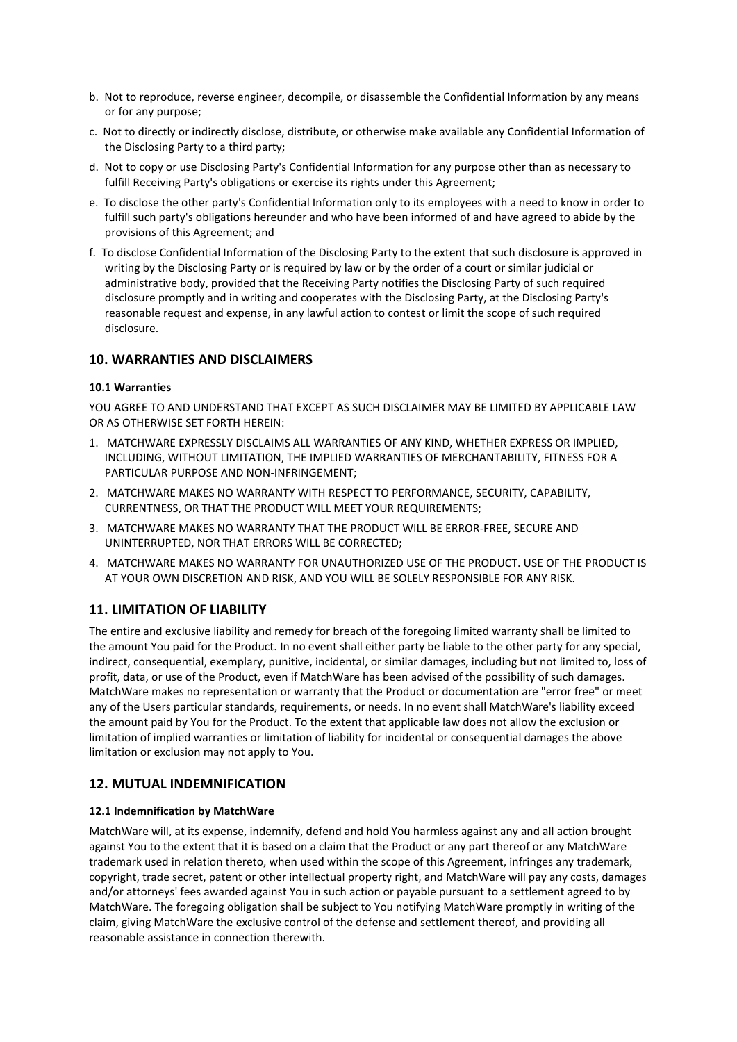- b. Not to reproduce, reverse engineer, decompile, or disassemble the Confidential Information by any means or for any purpose;
- c. Not to directly or indirectly disclose, distribute, or otherwise make available any Confidential Information of the Disclosing Party to a third party;
- d. Not to copy or use Disclosing Party's Confidential Information for any purpose other than as necessary to fulfill Receiving Party's obligations or exercise its rights under this Agreement;
- e. To disclose the other party's Confidential Information only to its employees with a need to know in order to fulfill such party's obligations hereunder and who have been informed of and have agreed to abide by the provisions of this Agreement; and
- f. To disclose Confidential Information of the Disclosing Party to the extent that such disclosure is approved in writing by the Disclosing Party or is required by law or by the order of a court or similar judicial or administrative body, provided that the Receiving Party notifies the Disclosing Party of such required disclosure promptly and in writing and cooperates with the Disclosing Party, at the Disclosing Party's reasonable request and expense, in any lawful action to contest or limit the scope of such required disclosure.

## **10. WARRANTIES AND DISCLAIMERS**

### **10.1 Warranties**

YOU AGREE TO AND UNDERSTAND THAT EXCEPT AS SUCH DISCLAIMER MAY BE LIMITED BY APPLICABLE LAW OR AS OTHERWISE SET FORTH HEREIN:

- 1. MATCHWARE EXPRESSLY DISCLAIMS ALL WARRANTIES OF ANY KIND, WHETHER EXPRESS OR IMPLIED, INCLUDING, WITHOUT LIMITATION, THE IMPLIED WARRANTIES OF MERCHANTABILITY, FITNESS FOR A PARTICULAR PURPOSE AND NON-INFRINGEMENT;
- 2. MATCHWARE MAKES NO WARRANTY WITH RESPECT TO PERFORMANCE, SECURITY, CAPABILITY, CURRENTNESS, OR THAT THE PRODUCT WILL MEET YOUR REQUIREMENTS;
- 3. MATCHWARE MAKES NO WARRANTY THAT THE PRODUCT WILL BE ERROR-FREE, SECURE AND UNINTERRUPTED, NOR THAT ERRORS WILL BE CORRECTED;
- 4. MATCHWARE MAKES NO WARRANTY FOR UNAUTHORIZED USE OF THE PRODUCT. USE OF THE PRODUCT IS AT YOUR OWN DISCRETION AND RISK, AND YOU WILL BE SOLELY RESPONSIBLE FOR ANY RISK.

## **11. LIMITATION OF LIABILITY**

The entire and exclusive liability and remedy for breach of the foregoing limited warranty shall be limited to the amount You paid for the Product. In no event shall either party be liable to the other party for any special, indirect, consequential, exemplary, punitive, incidental, or similar damages, including but not limited to, loss of profit, data, or use of the Product, even if MatchWare has been advised of the possibility of such damages. MatchWare makes no representation or warranty that the Product or documentation are "error free" or meet any of the Users particular standards, requirements, or needs. In no event shall MatchWare's liability exceed the amount paid by You for the Product. To the extent that applicable law does not allow the exclusion or limitation of implied warranties or limitation of liability for incidental or consequential damages the above limitation or exclusion may not apply to You.

### **12. MUTUAL INDEMNIFICATION**

#### **12.1 Indemnification by MatchWare**

MatchWare will, at its expense, indemnify, defend and hold You harmless against any and all action brought against You to the extent that it is based on a claim that the Product or any part thereof or any MatchWare trademark used in relation thereto, when used within the scope of this Agreement, infringes any trademark, copyright, trade secret, patent or other intellectual property right, and MatchWare will pay any costs, damages and/or attorneys' fees awarded against You in such action or payable pursuant to a settlement agreed to by MatchWare. The foregoing obligation shall be subject to You notifying MatchWare promptly in writing of the claim, giving MatchWare the exclusive control of the defense and settlement thereof, and providing all reasonable assistance in connection therewith.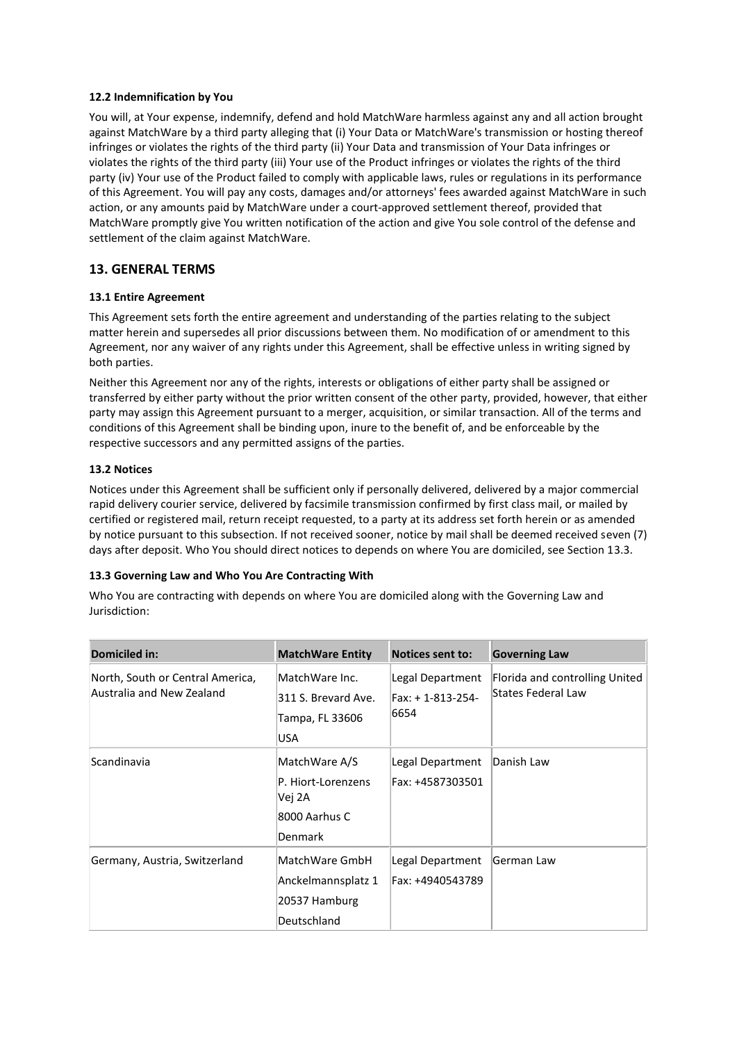### **12.2 Indemnification by You**

You will, at Your expense, indemnify, defend and hold MatchWare harmless against any and all action brought against MatchWare by a third party alleging that (i) Your Data or MatchWare's transmission or hosting thereof infringes or violates the rights of the third party (ii) Your Data and transmission of Your Data infringes or violates the rights of the third party (iii) Your use of the Product infringes or violates the rights of the third party (iv) Your use of the Product failed to comply with applicable laws, rules or regulations in its performance of this Agreement. You will pay any costs, damages and/or attorneys' fees awarded against MatchWare in such action, or any amounts paid by MatchWare under a court-approved settlement thereof, provided that MatchWare promptly give You written notification of the action and give You sole control of the defense and settlement of the claim against MatchWare.

## **13. GENERAL TERMS**

### **13.1 Entire Agreement**

This Agreement sets forth the entire agreement and understanding of the parties relating to the subject matter herein and supersedes all prior discussions between them. No modification of or amendment to this Agreement, nor any waiver of any rights under this Agreement, shall be effective unless in writing signed by both parties.

Neither this Agreement nor any of the rights, interests or obligations of either party shall be assigned or transferred by either party without the prior written consent of the other party, provided, however, that either party may assign this Agreement pursuant to a merger, acquisition, or similar transaction. All of the terms and conditions of this Agreement shall be binding upon, inure to the benefit of, and be enforceable by the respective successors and any permitted assigns of the parties.

### **13.2 Notices**

Notices under this Agreement shall be sufficient only if personally delivered, delivered by a major commercial rapid delivery courier service, delivered by facsimile transmission confirmed by first class mail, or mailed by certified or registered mail, return receipt requested, to a party at its address set forth herein or as amended by notice pursuant to this subsection. If not received sooner, notice by mail shall be deemed received seven (7) days after deposit. Who You should direct notices to depends on where You are domiciled, see Section 13.3.

#### **13.3 Governing Law and Who You Are Contracting With**

Who You are contracting with depends on where You are domiciled along with the Governing Law and Jurisdiction:

| Domiciled in:                                                 | <b>MatchWare Entity</b>                                                   | <b>Notices sent to:</b>                      | <b>Governing Law</b>                                 |
|---------------------------------------------------------------|---------------------------------------------------------------------------|----------------------------------------------|------------------------------------------------------|
| North, South or Central America,<br>Australia and New Zealand | MatchWare Inc.<br>311 S. Brevard Ave.<br>Tampa, FL 33606<br>USA           | Legal Department<br>Fax: +1-813-254-<br>6654 | Florida and controlling United<br>States Federal Law |
| Scandinavia                                                   | MatchWare A/S<br>P. Hiort-Lorenzens<br>Vej 2A<br>8000 Aarhus C<br>Denmark | Legal Department<br>Fax: +4587303501         | Danish Law                                           |
| Germany, Austria, Switzerland                                 | MatchWare GmbH<br>Anckelmannsplatz 1<br>20537 Hamburg<br>Deutschland      | Legal Department<br>Fax: +4940543789         | German Law                                           |